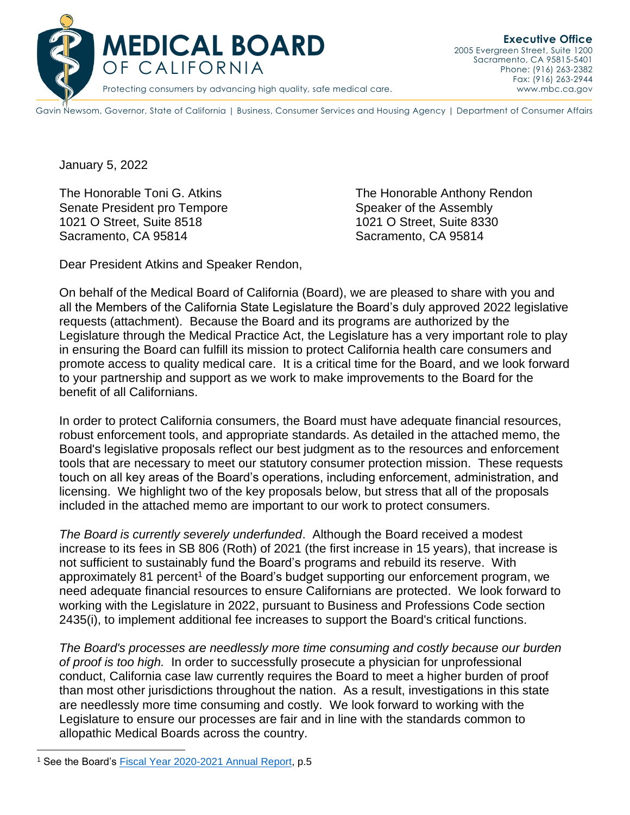

Gavin Newsom, Governor, State of California | Business, Consumer Services and Housing Agency | Department of Consumer Affairs

January 5, 2022

Senate President pro Tempore Speaker of the Assembly 1021 O Street, Suite 8518 1021 O Street, Suite 8330 Sacramento, CA 95814 Sacramento, CA 95814

The Honorable Toni G. Atkins The Honorable Anthony Rendon

Dear President Atkins and Speaker Rendon,

On behalf of the Medical Board of California (Board), we are pleased to share with you and all the Members of the California State Legislature the Board's duly approved 2022 legislative requests (attachment). Because the Board and its programs are authorized by the Legislature through the Medical Practice Act, the Legislature has a very important role to play in ensuring the Board can fulfill its mission to protect California health care consumers and promote access to quality medical care. It is a critical time for the Board, and we look forward to your partnership and support as we work to make improvements to the Board for the benefit of all Californians.

In order to protect California consumers, the Board must have adequate financial resources, robust enforcement tools, and appropriate standards. As detailed in the attached memo, the Board's legislative proposals reflect our best judgment as to the resources and enforcement tools that are necessary to meet our statutory consumer protection mission. These requests touch on all key areas of the Board's operations, including enforcement, administration, and licensing. We highlight two of the key proposals below, but stress that all of the proposals included in the attached memo are important to our work to protect consumers.

*The Board is currently severely underfunded*. Although the Board received a modest increase to its fees in SB 806 (Roth) of 2021 (the first increase in 15 years), that increase is not sufficient to sustainably fund the Board's programs and rebuild its reserve. With approximately 81 percent<sup>1</sup> of the Board's budget supporting our enforcement program, we need adequate financial resources to ensure Californians are protected. We look forward to working with the Legislature in 2022, pursuant to Business and Professions Code section 2435(i), to implement additional fee increases to support the Board's critical functions.

*The Board's processes are needlessly more time consuming and costly because our burden of proof is too high.* In order to successfully prosecute a physician for unprofessional conduct, California case law currently requires the Board to meet a higher burden of proof than most other jurisdictions throughout the nation. As a result, investigations in this state are needlessly more time consuming and costly. We look forward to working with the Legislature to ensure our processes are fair and in line with the standards common to allopathic Medical Boards across the country.

<sup>&</sup>lt;sup>1</sup> See the Board's **Fiscal Year 2020-2021** Annual Report, p.5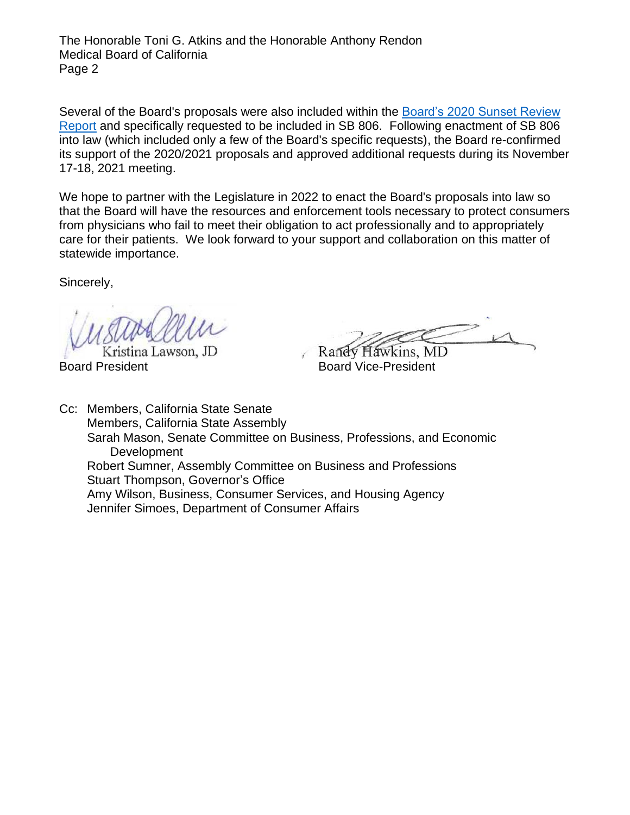The Honorable Toni G. Atkins and the Honorable Anthony Rendon Medical Board of California Page 2

Several of the Board's proposals were also included within the [Board's 2020 Sunset Review](https://www.mbc.ca.gov/Download/Reports/sunset-report-2020.pdf)  [Report](https://www.mbc.ca.gov/Download/Reports/sunset-report-2020.pdf) and specifically requested to be included in SB 806. Following enactment of SB 806 into law (which included only a few of the Board's specific requests), the Board re-confirmed its support of the 2020/2021 proposals and approved additional requests during its November 17-18, 2021 meeting.

We hope to partner with the Legislature in 2022 to enact the Board's proposals into law so that the Board will have the resources and enforcement tools necessary to protect consumers from physicians who fail to meet their obligation to act professionally and to appropriately care for their patients. We look forward to your support and collaboration on this matter of statewide importance.

Sincerely,

Kristina Lawson, JD Board President **Board Vice-President** 

Randy Hawkins, MD

Cc: Members, California State Senate Members, California State Assembly Sarah Mason, Senate Committee on Business, Professions, and Economic **Development** Robert Sumner, Assembly Committee on Business and Professions Stuart Thompson, Governor's Office Amy Wilson, Business, Consumer Services, and Housing Agency Jennifer Simoes, Department of Consumer Affairs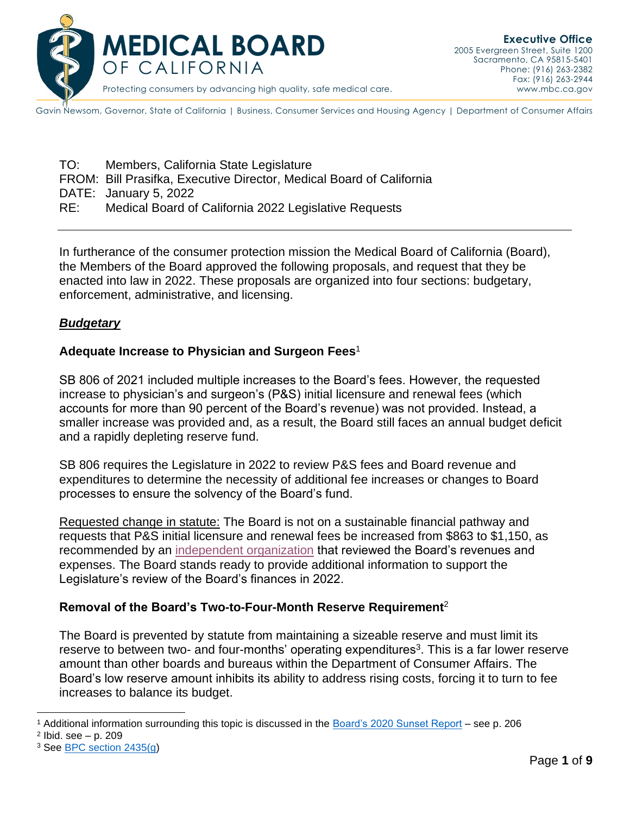

Gavin Newsom, Governor, State of California | Business, Consumer Services and Housing Agency | Department of Consumer Affairs

TO: Members, California State Legislature FROM: Bill Prasifka, Executive Director, Medical Board of California DATE: January 5, 2022 RE: Medical Board of California 2022 Legislative Requests

In furtherance of the consumer protection mission the Medical Board of California (Board), the Members of the Board approved the following proposals, and request that they be enacted into law in 2022. These proposals are organized into four sections: budgetary, enforcement, administrative, and licensing.

#### *Budgetary*

#### **Adequate Increase to Physician and Surgeon Fees**<sup>1</sup>

SB 806 of 2021 included multiple increases to the Board's fees. However, the requested increase to physician's and surgeon's (P&S) initial licensure and renewal fees (which accounts for more than 90 percent of the Board's revenue) was not provided. Instead, a smaller increase was provided and, as a result, the Board still faces an annual budget deficit and a rapidly depleting reserve fund.

SB 806 requires the Legislature in 2022 to review P&S fees and Board revenue and expenditures to determine the necessity of additional fee increases or changes to Board processes to ensure the solvency of the Board's fund.

Requested change in statute: The Board is not on a sustainable financial pathway and requests that P&S initial licensure and renewal fees be increased from \$863 to \$1,150, as recommended by an [independent organization](https://www.mbc.ca.gov/About/Meetings/Material/30727/brd-AgendaItem7-20200130.pdf) that reviewed the Board's revenues and expenses. The Board stands ready to provide additional information to support the Legislature's review of the Board's finances in 2022.

## **Removal of the Board's Two-to-Four-Month Reserve Requirement**<sup>2</sup>

The Board is prevented by statute from maintaining a sizeable reserve and must limit its reserve to between two- and four-months' operating expenditures<sup>3</sup>. This is a far lower reserve amount than other boards and bureaus within the Department of Consumer Affairs. The Board's low reserve amount inhibits its ability to address rising costs, forcing it to turn to fee increases to balance its budget.

<sup>1</sup> Additional information surrounding this topic is discussed in the [Board's 2020 Sunset Report](https://www.mbc.ca.gov/Download/Reports/sunset-report-2020.pdf) – see p. 206

<sup>2</sup> Ibid. see – p. 209

<sup>3</sup> See [BPC section 2435\(g\)](https://leginfo.legislature.ca.gov/faces/codes_displaySection.xhtml?sectionNum=2435.&lawCode=BPC)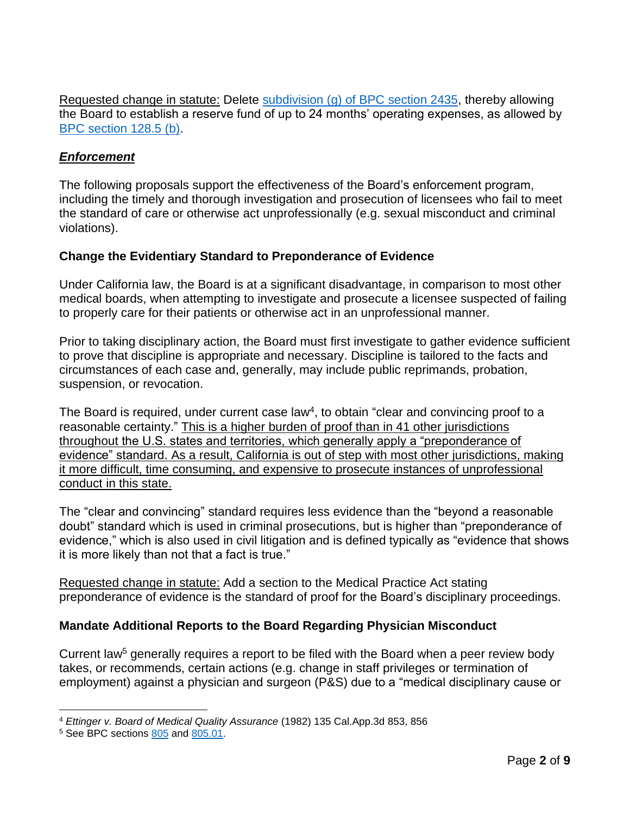Requested change in statute: Delete [subdivision \(g\) of BPC section 2435,](https://leginfo.legislature.ca.gov/faces/codes_displaySection.xhtml?sectionNum=2435.&lawCode=BPC) thereby allowing the Board to establish a reserve fund of up to 24 months' operating expenses, as allowed by [BPC section 128.5 \(b\).](https://leginfo.legislature.ca.gov/faces/codes_displaySection.xhtml?sectionNum=128.5.&lawCode=BPC)

#### *Enforcement*

The following proposals support the effectiveness of the Board's enforcement program, including the timely and thorough investigation and prosecution of licensees who fail to meet the standard of care or otherwise act unprofessionally (e.g. sexual misconduct and criminal violations).

#### **Change the Evidentiary Standard to Preponderance of Evidence**

Under California law, the Board is at a significant disadvantage, in comparison to most other medical boards, when attempting to investigate and prosecute a licensee suspected of failing to properly care for their patients or otherwise act in an unprofessional manner.

Prior to taking disciplinary action, the Board must first investigate to gather evidence sufficient to prove that discipline is appropriate and necessary. Discipline is tailored to the facts and circumstances of each case and, generally, may include public reprimands, probation, suspension, or revocation.

The Board is required, under current case law<sup>4</sup>, to obtain "clear and convincing proof to a reasonable certainty." This is a higher burden of proof than in 41 other jurisdictions throughout the U.S. states and territories, which generally apply a "preponderance of evidence" standard. As a result, California is out of step with most other jurisdictions, making it more difficult, time consuming, and expensive to prosecute instances of unprofessional conduct in this state.

The "clear and convincing" standard requires less evidence than the "beyond a reasonable doubt" standard which is used in criminal prosecutions, but is higher than "preponderance of evidence," which is also used in civil litigation and is defined typically as "evidence that shows it is more likely than not that a fact is true."

Requested change in statute: Add a section to the Medical Practice Act stating preponderance of evidence is the standard of proof for the Board's disciplinary proceedings.

## **Mandate Additional Reports to the Board Regarding Physician Misconduct**

Current law<sup>5</sup> generally requires a report to be filed with the Board when a peer review body takes, or recommends, certain actions (e.g. change in staff privileges or termination of employment) against a physician and surgeon (P&S) due to a "medical disciplinary cause or

<sup>4</sup> *Ettinger v. Board of Medical Quality Assurance* (1982) 135 Cal.App.3d 853, 856

<sup>5</sup> See BPC sections [805](https://leginfo.legislature.ca.gov/faces/codes_displaySection.xhtml?sectionNum=805&lawCode=BPC) and [805.01.](https://leginfo.legislature.ca.gov/faces/codes_displaySection.xhtml?sectionNum=805.01.&nodeTreePath=4.1.15&lawCode=BPC)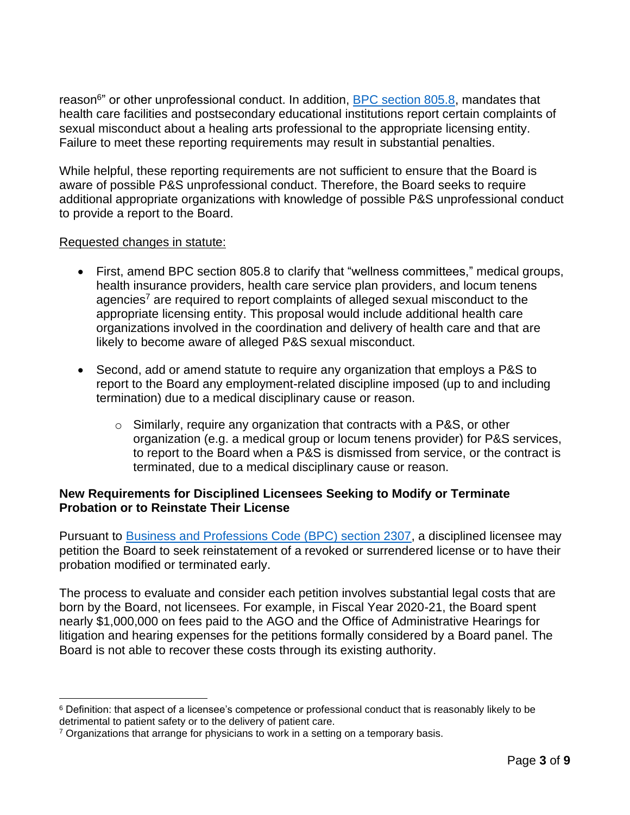reason<sup>6</sup>" or other unprofessional conduct. In addition, [BPC section 805.8,](https://leginfo.legislature.ca.gov/faces/codes_displaySection.xhtml?sectionNum=805.8.&lawCode=BPC) mandates that health care facilities and postsecondary educational institutions report certain complaints of sexual misconduct about a healing arts professional to the appropriate licensing entity. Failure to meet these reporting requirements may result in substantial penalties.

While helpful, these reporting requirements are not sufficient to ensure that the Board is aware of possible P&S unprofessional conduct. Therefore, the Board seeks to require additional appropriate organizations with knowledge of possible P&S unprofessional conduct to provide a report to the Board.

#### Requested changes in statute:

- First, amend BPC section 805.8 to clarify that "wellness committees," medical groups, health insurance providers, health care service plan providers, and locum tenens agencies<sup>7</sup> are required to report complaints of alleged sexual misconduct to the appropriate licensing entity. This proposal would include additional health care organizations involved in the coordination and delivery of health care and that are likely to become aware of alleged P&S sexual misconduct.
- Second, add or amend statute to require any organization that employs a P&S to report to the Board any employment-related discipline imposed (up to and including termination) due to a medical disciplinary cause or reason.
	- $\circ$  Similarly, require any organization that contracts with a P&S, or other organization (e.g. a medical group or locum tenens provider) for P&S services, to report to the Board when a P&S is dismissed from service, or the contract is terminated, due to a medical disciplinary cause or reason.

#### **New Requirements for Disciplined Licensees Seeking to Modify or Terminate Probation or to Reinstate Their License**

Pursuant to [Business and Professions Code \(BPC\) section 2307,](https://leginfo.legislature.ca.gov/faces/codes_displaySection.xhtml?sectionNum=2307.&lawCode=BPC) a disciplined licensee may petition the Board to seek reinstatement of a revoked or surrendered license or to have their probation modified or terminated early.

The process to evaluate and consider each petition involves substantial legal costs that are born by the Board, not licensees. For example, in Fiscal Year 2020-21, the Board spent nearly \$1,000,000 on fees paid to the AGO and the Office of Administrative Hearings for litigation and hearing expenses for the petitions formally considered by a Board panel. The Board is not able to recover these costs through its existing authority.

<sup>&</sup>lt;sup>6</sup> Definition: that aspect of a licensee's competence or professional conduct that is reasonably likely to be detrimental to patient safety or to the delivery of patient care.

 $7$  Organizations that arrange for physicians to work in a setting on a temporary basis.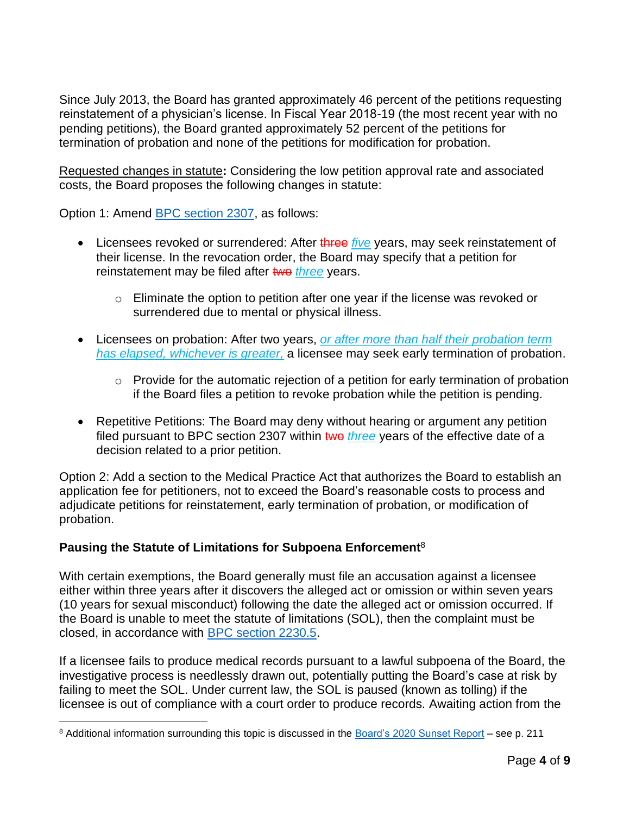Since July 2013, the Board has granted approximately 46 percent of the petitions requesting reinstatement of a physician's license. In Fiscal Year 2018-19 (the most recent year with no pending petitions), the Board granted approximately 52 percent of the petitions for termination of probation and none of the petitions for modification for probation.

Requested changes in statute**:** Considering the low petition approval rate and associated costs, the Board proposes the following changes in statute:

Option 1: Amend [BPC section 2307,](https://leginfo.legislature.ca.gov/faces/codes_displaySection.xhtml?sectionNum=2307&lawCode=BPC) as follows:

- Licensees revoked or surrendered: After three *five* years, may seek reinstatement of their license. In the revocation order, the Board may specify that a petition for reinstatement may be filed after two three years.
	- o Eliminate the option to petition after one year if the license was revoked or surrendered due to mental or physical illness.
- Licensees on probation: After two years, *or after more than half their probation term has elapsed, whichever is greater,* a licensee may seek early termination of probation.
	- o Provide for the automatic rejection of a petition for early termination of probation if the Board files a petition to revoke probation while the petition is pending.
- Repetitive Petitions: The Board may deny without hearing or argument any petition filed pursuant to BPC section 2307 within two *three* years of the effective date of a decision related to a prior petition.

Option 2: Add a section to the Medical Practice Act that authorizes the Board to establish an application fee for petitioners, not to exceed the Board's reasonable costs to process and adjudicate petitions for reinstatement, early termination of probation, or modification of probation.

## **Pausing the Statute of Limitations for Subpoena Enforcement**<sup>8</sup>

With certain exemptions, the Board generally must file an accusation against a licensee either within three years after it discovers the alleged act or omission or within seven years (10 years for sexual misconduct) following the date the alleged act or omission occurred. If the Board is unable to meet the statute of limitations (SOL), then the complaint must be closed, in accordance with [BPC section 2230.5.](https://leginfo.legislature.ca.gov/faces/codes_displaySection.xhtml?sectionNum=2230.5.&nodeTreePath=4.7.14&lawCode=BPC)

If a licensee fails to produce medical records pursuant to a lawful subpoena of the Board, the investigative process is needlessly drawn out, potentially putting the Board's case at risk by failing to meet the SOL. Under current law, the SOL is paused (known as tolling) if the licensee is out of compliance with a court order to produce records. Awaiting action from the

<sup>8</sup> Additional information surrounding this topic is discussed in the [Board's 2020 Sunset Report](https://www.mbc.ca.gov/Download/Reports/sunset-report-2020.pdf) – see p. 211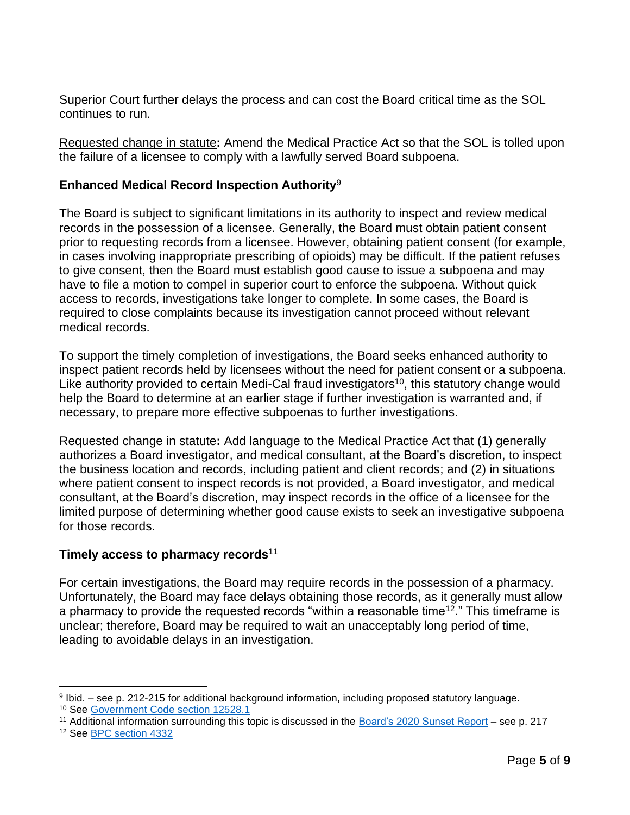Superior Court further delays the process and can cost the Board critical time as the SOL continues to run.

Requested change in statute**:** Amend the Medical Practice Act so that the SOL is tolled upon the failure of a licensee to comply with a lawfully served Board subpoena.

#### **Enhanced Medical Record Inspection Authority**<sup>9</sup>

The Board is subject to significant limitations in its authority to inspect and review medical records in the possession of a licensee. Generally, the Board must obtain patient consent prior to requesting records from a licensee. However, obtaining patient consent (for example, in cases involving inappropriate prescribing of opioids) may be difficult. If the patient refuses to give consent, then the Board must establish good cause to issue a subpoena and may have to file a motion to compel in superior court to enforce the subpoena. Without quick access to records, investigations take longer to complete. In some cases, the Board is required to close complaints because its investigation cannot proceed without relevant medical records.

To support the timely completion of investigations, the Board seeks enhanced authority to inspect patient records held by licensees without the need for patient consent or a subpoena. Like authority provided to certain Medi-Cal fraud investigators<sup>10</sup>, this statutory change would help the Board to determine at an earlier stage if further investigation is warranted and, if necessary, to prepare more effective subpoenas to further investigations.

Requested change in statute**:** Add language to the Medical Practice Act that (1) generally authorizes a Board investigator, and medical consultant, at the Board's discretion, to inspect the business location and records, including patient and client records; and (2) in situations where patient consent to inspect records is not provided, a Board investigator, and medical consultant, at the Board's discretion, may inspect records in the office of a licensee for the limited purpose of determining whether good cause exists to seek an investigative subpoena for those records.

## **Timely access to pharmacy records**<sup>11</sup>

For certain investigations, the Board may require records in the possession of a pharmacy. Unfortunately, the Board may face delays obtaining those records, as it generally must allow a pharmacy to provide the requested records "within a reasonable time<sup>12</sup>." This timeframe is unclear; therefore, Board may be required to wait an unacceptably long period of time, leading to avoidable delays in an investigation.

<sup>9</sup> Ibid. – see p. 212-215 for additional background information, including proposed statutory language. <sup>10</sup> See [Government Code section 12528.1](https://leginfo.legislature.ca.gov/faces/codes_displaySection.xhtml?sectionNum=12528.1.&nodeTreePath=3.3.2.7.2&lawCode=GOV)

<sup>11</sup> Additional information surrounding this topic is discussed in the [Board's 2020 Sunset Report](https://www.mbc.ca.gov/Download/Reports/sunset-report-2020.pdf) – see p. 217

<sup>12</sup> See [BPC section 4332](https://leginfo.legislature.ca.gov/faces/codes_displaySection.xhtml?sectionNum=4332.&lawCode=BPC)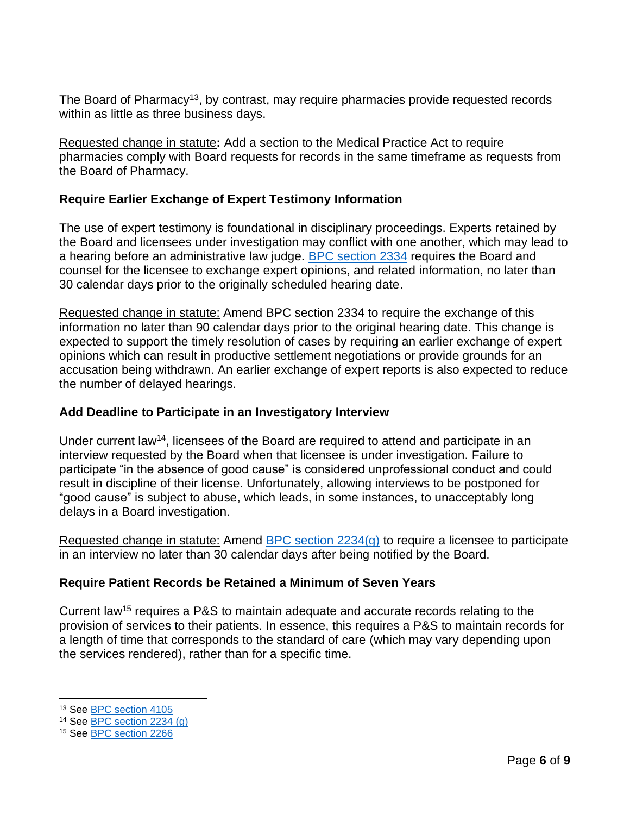The Board of Pharmacy<sup>13</sup>, by contrast, may require pharmacies provide requested records within as little as three business days.

Requested change in statute**:** Add a section to the Medical Practice Act to require pharmacies comply with Board requests for records in the same timeframe as requests from the Board of Pharmacy.

## **Require Earlier Exchange of Expert Testimony Information**

The use of expert testimony is foundational in disciplinary proceedings. Experts retained by the Board and licensees under investigation may conflict with one another, which may lead to a hearing before an administrative law judge. [BPC section 2334](https://leginfo.legislature.ca.gov/faces/codes_displaySection.xhtml?sectionNum=2234&lawCode=BPC) requires the Board and counsel for the licensee to exchange expert opinions, and related information, no later than 30 calendar days prior to the originally scheduled hearing date.

Requested change in statute: Amend BPC section 2334 to require the exchange of this information no later than 90 calendar days prior to the original hearing date. This change is expected to support the timely resolution of cases by requiring an earlier exchange of expert opinions which can result in productive settlement negotiations or provide grounds for an accusation being withdrawn. An earlier exchange of expert reports is also expected to reduce the number of delayed hearings.

#### **Add Deadline to Participate in an Investigatory Interview**

Under current law<sup>14</sup>, licensees of the Board are required to attend and participate in an interview requested by the Board when that licensee is under investigation. Failure to participate "in the absence of good cause" is considered unprofessional conduct and could result in discipline of their license. Unfortunately, allowing interviews to be postponed for "good cause" is subject to abuse, which leads, in some instances, to unacceptably long delays in a Board investigation.

Requested change in statute: Amend [BPC section 2234\(g\)](https://leginfo.legislature.ca.gov/faces/codes_displaySection.xhtml?sectionNum=2234.&lawCode=BPC) to require a licensee to participate in an interview no later than 30 calendar days after being notified by the Board.

## **Require Patient Records be Retained a Minimum of Seven Years**

Current law<sup>15</sup> requires a P&S to maintain adequate and accurate records relating to the provision of services to their patients. In essence, this requires a P&S to maintain records for a length of time that corresponds to the standard of care (which may vary depending upon the services rendered), rather than for a specific time.

<sup>13</sup> See [BPC section 4105](https://leginfo.legislature.ca.gov/faces/codes_displaySection.xhtml?sectionNum=4105.&lawCode=BPC)

<sup>14</sup> See [BPC section 2234 \(g\)](https://leginfo.legislature.ca.gov/faces/codes_displaySection.xhtml?sectionNum=2234.&lawCode=BPC)

<sup>15</sup> See [BPC section 2266](https://leginfo.legislature.ca.gov/faces/codes_displaySection.xhtml?sectionNum=2266.&lawCode=BPC)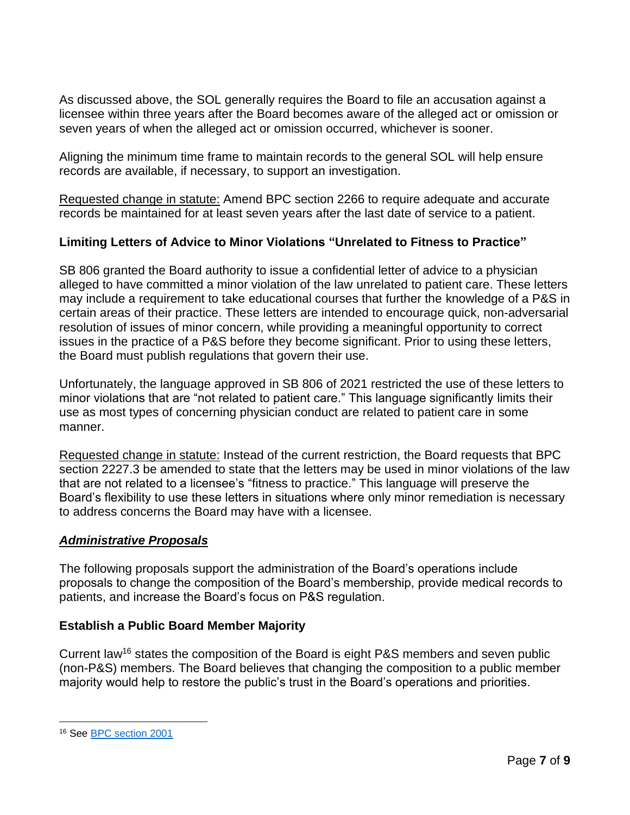As discussed above, the SOL generally requires the Board to file an accusation against a licensee within three years after the Board becomes aware of the alleged act or omission or seven years of when the alleged act or omission occurred, whichever is sooner.

Aligning the minimum time frame to maintain records to the general SOL will help ensure records are available, if necessary, to support an investigation.

Requested change in statute: Amend BPC section 2266 to require adequate and accurate records be maintained for at least seven years after the last date of service to a patient.

## **Limiting Letters of Advice to Minor Violations "Unrelated to Fitness to Practice"**

SB 806 granted the Board authority to issue a confidential letter of advice to a physician alleged to have committed a minor violation of the law unrelated to patient care. These letters may include a requirement to take educational courses that further the knowledge of a P&S in certain areas of their practice. These letters are intended to encourage quick, non-adversarial resolution of issues of minor concern, while providing a meaningful opportunity to correct issues in the practice of a P&S before they become significant. Prior to using these letters, the Board must publish regulations that govern their use.

Unfortunately, the language approved in SB 806 of 2021 restricted the use of these letters to minor violations that are "not related to patient care." This language significantly limits their use as most types of concerning physician conduct are related to patient care in some manner.

Requested change in statute: Instead of the current restriction, the Board requests that BPC section 2227.3 be amended to state that the letters may be used in minor violations of the law that are not related to a licensee's "fitness to practice." This language will preserve the Board's flexibility to use these letters in situations where only minor remediation is necessary to address concerns the Board may have with a licensee.

## *Administrative Proposals*

The following proposals support the administration of the Board's operations include proposals to change the composition of the Board's membership, provide medical records to patients, and increase the Board's focus on P&S regulation.

## **Establish a Public Board Member Majority**

Current law<sup>16</sup> states the composition of the Board is eight P&S members and seven public (non-P&S) members. The Board believes that changing the composition to a public member majority would help to restore the public's trust in the Board's operations and priorities.

<sup>16</sup> See [BPC section 2001](https://leginfo.legislature.ca.gov/faces/codes_displaySection.xhtml?sectionNum=2001.&lawCode=BPC)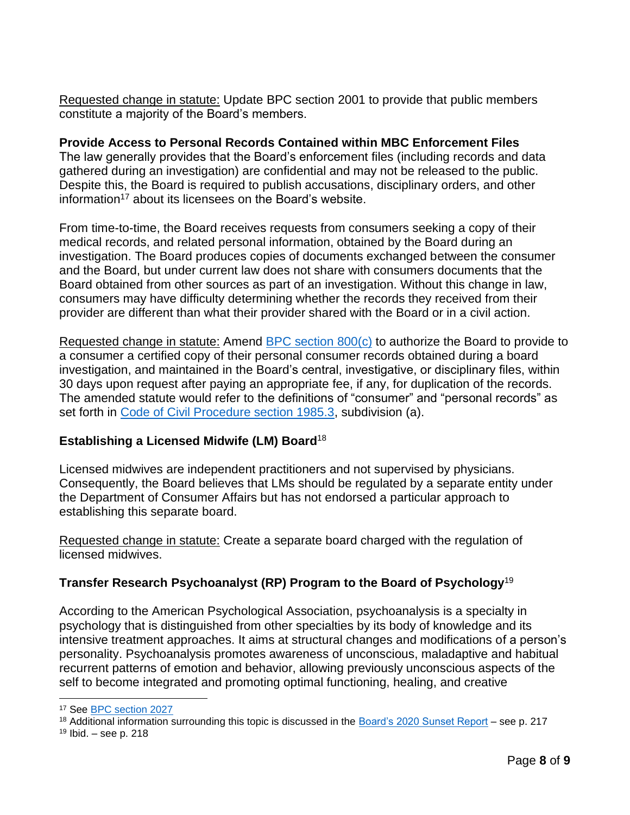Requested change in statute: Update BPC section 2001 to provide that public members constitute a majority of the Board's members.

# **Provide Access to Personal Records Contained within MBC Enforcement Files**

The law generally provides that the Board's enforcement files (including records and data gathered during an investigation) are confidential and may not be released to the public. Despite this, the Board is required to publish accusations, disciplinary orders, and other information<sup>17</sup> about its licensees on the Board's website.

From time-to-time, the Board receives requests from consumers seeking a copy of their medical records, and related personal information, obtained by the Board during an investigation. The Board produces copies of documents exchanged between the consumer and the Board, but under current law does not share with consumers documents that the Board obtained from other sources as part of an investigation. Without this change in law, consumers may have difficulty determining whether the records they received from their provider are different than what their provider shared with the Board or in a civil action.

Requested change in statute: Amend [BPC section 800\(c\)](https://leginfo.legislature.ca.gov/faces/codes_displaySection.xhtml?sectionNum=800.&lawCode=BPC) to authorize the Board to provide to a consumer a certified copy of their personal consumer records obtained during a board investigation, and maintained in the Board's central, investigative, or disciplinary files, within 30 days upon request after paying an appropriate fee, if any, for duplication of the records. The amended statute would refer to the definitions of "consumer" and "personal records" as set forth in [Code of Civil Procedure section 1985.3,](https://leginfo.legislature.ca.gov/faces/codes_displaySection.xhtml?sectionNum=1985.3.&lawCode=CCP) subdivision (a).

## **Establishing a Licensed Midwife (LM) Board**<sup>18</sup>

Licensed midwives are independent practitioners and not supervised by physicians. Consequently, the Board believes that LMs should be regulated by a separate entity under the Department of Consumer Affairs but has not endorsed a particular approach to establishing this separate board.

Requested change in statute: Create a separate board charged with the regulation of licensed midwives.

## **Transfer Research Psychoanalyst (RP) Program to the Board of Psychology**<sup>19</sup>

According to the American Psychological Association, psychoanalysis is a specialty in psychology that is distinguished from other specialties by its body of knowledge and its intensive treatment approaches. It aims at structural changes and modifications of a person's personality. Psychoanalysis promotes awareness of unconscious, maladaptive and habitual recurrent patterns of emotion and behavior, allowing previously unconscious aspects of the self to become integrated and promoting optimal functioning, healing, and creative

<sup>18</sup> Additional information surrounding this topic is discussed in the [Board's 2020 Sunset Report](https://www.mbc.ca.gov/Download/Reports/sunset-report-2020.pdf) – see p. 217

<sup>&</sup>lt;sup>17</sup> See **BPC** section 2027

 $19$  Ibid. – see p. 218